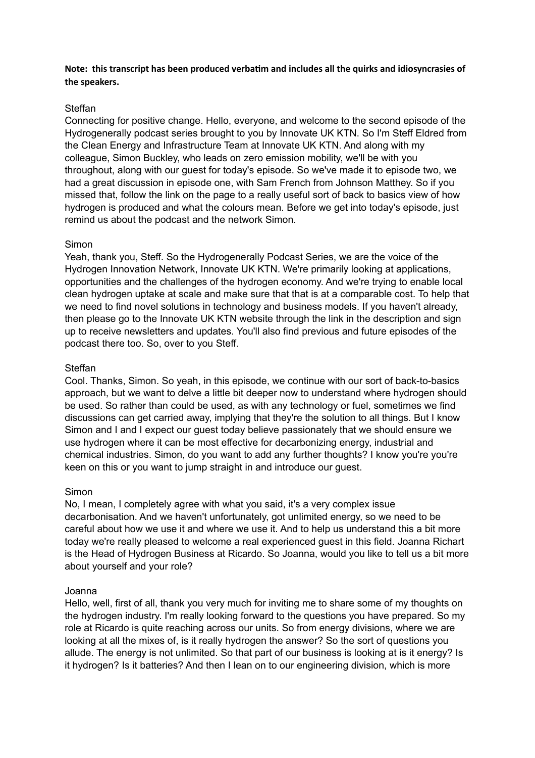**Note: this transcript has been produced verbatim and includes all the quirks and idiosyncrasies of the speakers.**

## Steffan

Connecting for positive change. Hello, everyone, and welcome to the second episode of the Hydrogenerally podcast series brought to you by Innovate UK KTN. So I'm Steff Eldred from the Clean Energy and Infrastructure Team at Innovate UK KTN. And along with my colleague, Simon Buckley, who leads on zero emission mobility, we'll be with you throughout, along with our guest for today's episode. So we've made it to episode two, we had a great discussion in episode one, with Sam French from Johnson Matthey. So if you missed that, follow the link on the page to a really useful sort of back to basics view of how hydrogen is produced and what the colours mean. Before we get into today's episode, just remind us about the podcast and the network Simon.

## Simon

Yeah, thank you, Steff. So the Hydrogenerally Podcast Series, we are the voice of the Hydrogen Innovation Network, Innovate UK KTN. We're primarily looking at applications, opportunities and the challenges of the hydrogen economy. And we're trying to enable local clean hydrogen uptake at scale and make sure that that is at a comparable cost. To help that we need to find novel solutions in technology and business models. If you haven't already, then please go to the Innovate UK KTN website through the link in the description and sign up to receive newsletters and updates. You'll also find previous and future episodes of the podcast there too. So, over to you Steff.

## Steffan

Cool. Thanks, Simon. So yeah, in this episode, we continue with our sort of back-to-basics approach, but we want to delve a little bit deeper now to understand where hydrogen should be used. So rather than could be used, as with any technology or fuel, sometimes we find discussions can get carried away, implying that they're the solution to all things. But I know Simon and I and I expect our guest today believe passionately that we should ensure we use hydrogen where it can be most effective for decarbonizing energy, industrial and chemical industries. Simon, do you want to add any further thoughts? I know you're you're keen on this or you want to jump straight in and introduce our guest.

#### Simon

No, I mean, I completely agree with what you said, it's a very complex issue decarbonisation. And we haven't unfortunately, got unlimited energy, so we need to be careful about how we use it and where we use it. And to help us understand this a bit more today we're really pleased to welcome a real experienced guest in this field. Joanna Richart is the Head of Hydrogen Business at Ricardo. So Joanna, would you like to tell us a bit more about yourself and your role?

#### Joanna

Hello, well, first of all, thank you very much for inviting me to share some of my thoughts on the hydrogen industry. I'm really looking forward to the questions you have prepared. So my role at Ricardo is quite reaching across our units. So from energy divisions, where we are looking at all the mixes of, is it really hydrogen the answer? So the sort of questions you allude. The energy is not unlimited. So that part of our business is looking at is it energy? Is it hydrogen? Is it batteries? And then I lean on to our engineering division, which is more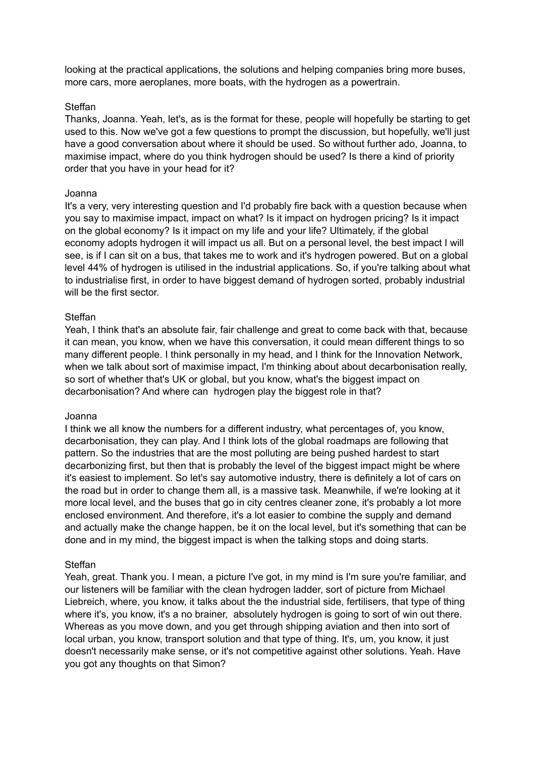looking at the practical applications, the solutions and helping companies bring more buses, more cars, more aeroplanes, more boats, with the hydrogen as a powertrain.

## Steffan

Thanks, Joanna. Yeah, let's, as is the format for these, people will hopefully be starting to get used to this. Now we've got a few questions to prompt the discussion, but hopefully, we'll just have a good conversation about where it should be used. So without further ado, Joanna, to maximise impact, where do you think hydrogen should be used? Is there a kind of priority order that you have in your head for it?

## Joanna

It's a very, very interesting question and I'd probably fire back with a question because when you say to maximise impact, impact on what? Is it impact on hydrogen pricing? Is it impact on the global economy? Is it impact on my life and your life? Ultimately, if the global economy adopts hydrogen it will impact us all. But on a personal level, the best impact I will see, is if I can sit on a bus, that takes me to work and it's hydrogen powered. But on a global level 44% of hydrogen is utilised in the industrial applications. So, if you're talking about what to industrialise first, in order to have biggest demand of hydrogen sorted, probably industrial will be the first sector.

## Steffan

Yeah, I think that's an absolute fair, fair challenge and great to come back with that, because it can mean, you know, when we have this conversation, it could mean different things to so many different people. I think personally in my head, and I think for the Innovation Network, when we talk about sort of maximise impact, I'm thinking about about decarbonisation really, so sort of whether that's UK or global, but you know, what's the biggest impact on decarbonisation? And where can hydrogen play the biggest role in that?

#### Joanna

I think we all know the numbers for a different industry, what percentages of, you know, decarbonisation, they can play. And I think lots of the global roadmaps are following that pattern. So the industries that are the most polluting are being pushed hardest to start decarbonizing first, but then that is probably the level of the biggest impact might be where it's easiest to implement. So let's say automotive industry, there is definitely a lot of cars on the road but in order to change them all, is a massive task. Meanwhile, if we're looking at it more local level, and the buses that go in city centres cleaner zone, it's probably a lot more enclosed environment. And therefore, it's a lot easier to combine the supply and demand and actually make the change happen, be it on the local level, but it's something that can be done and in my mind, the biggest impact is when the talking stops and doing starts.

# Steffan

Yeah, great. Thank you. I mean, a picture I've got, in my mind is I'm sure you're familiar, and our listeners will be familiar with the clean hydrogen ladder, sort of picture from Michael Liebreich, where, you know, it talks about the the industrial side, fertilisers, that type of thing where it's, you know, it's a no brainer, absolutely hydrogen is going to sort of win out there. Whereas as you move down, and you get through shipping aviation and then into sort of local urban, you know, transport solution and that type of thing. It's, um, you know, it just doesn't necessarily make sense, or it's not competitive against other solutions. Yeah. Have you got any thoughts on that Simon?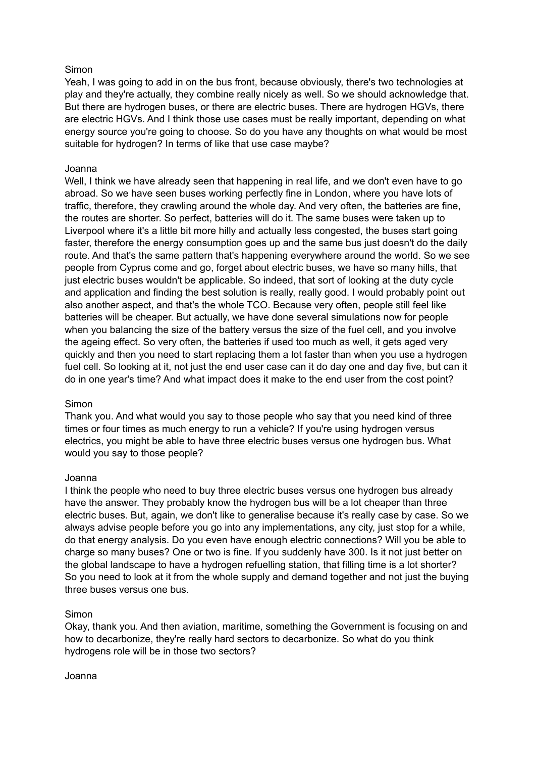# Simon

Yeah, I was going to add in on the bus front, because obviously, there's two technologies at play and they're actually, they combine really nicely as well. So we should acknowledge that. But there are hydrogen buses, or there are electric buses. There are hydrogen HGVs, there are electric HGVs. And I think those use cases must be really important, depending on what energy source you're going to choose. So do you have any thoughts on what would be most suitable for hydrogen? In terms of like that use case maybe?

## Joanna

Well, I think we have already seen that happening in real life, and we don't even have to go abroad. So we have seen buses working perfectly fine in London, where you have lots of traffic, therefore, they crawling around the whole day. And very often, the batteries are fine, the routes are shorter. So perfect, batteries will do it. The same buses were taken up to Liverpool where it's a little bit more hilly and actually less congested, the buses start going faster, therefore the energy consumption goes up and the same bus just doesn't do the daily route. And that's the same pattern that's happening everywhere around the world. So we see people from Cyprus come and go, forget about electric buses, we have so many hills, that just electric buses wouldn't be applicable. So indeed, that sort of looking at the duty cycle and application and finding the best solution is really, really good. I would probably point out also another aspect, and that's the whole TCO. Because very often, people still feel like batteries will be cheaper. But actually, we have done several simulations now for people when you balancing the size of the battery versus the size of the fuel cell, and you involve the ageing effect. So very often, the batteries if used too much as well, it gets aged very quickly and then you need to start replacing them a lot faster than when you use a hydrogen fuel cell. So looking at it, not just the end user case can it do day one and day five, but can it do in one year's time? And what impact does it make to the end user from the cost point?

#### **Simon**

Thank you. And what would you say to those people who say that you need kind of three times or four times as much energy to run a vehicle? If you're using hydrogen versus electrics, you might be able to have three electric buses versus one hydrogen bus. What would you say to those people?

#### Joanna

I think the people who need to buy three electric buses versus one hydrogen bus already have the answer. They probably know the hydrogen bus will be a lot cheaper than three electric buses. But, again, we don't like to generalise because it's really case by case. So we always advise people before you go into any implementations, any city, just stop for a while, do that energy analysis. Do you even have enough electric connections? Will you be able to charge so many buses? One or two is fine. If you suddenly have 300. Is it not just better on the global landscape to have a hydrogen refuelling station, that filling time is a lot shorter? So you need to look at it from the whole supply and demand together and not just the buying three buses versus one bus.

#### Simon

Okay, thank you. And then aviation, maritime, something the Government is focusing on and how to decarbonize, they're really hard sectors to decarbonize. So what do you think hydrogens role will be in those two sectors?

#### Joanna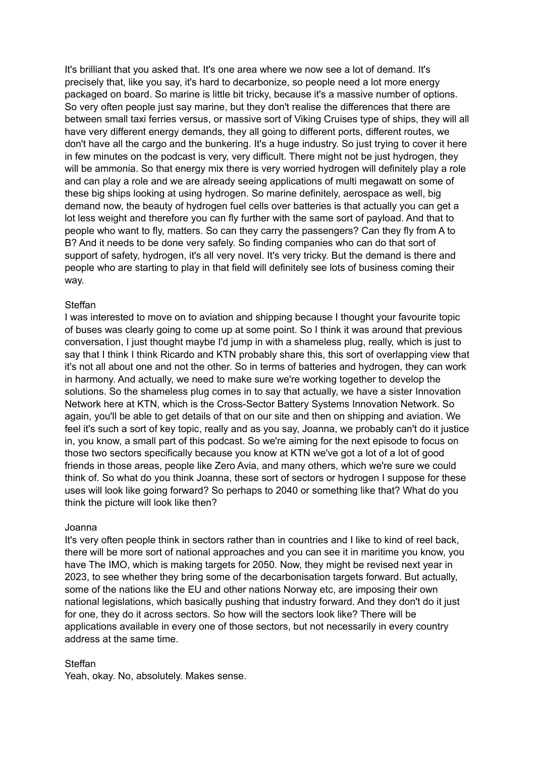It's brilliant that you asked that. It's one area where we now see a lot of demand. It's precisely that, like you say, it's hard to decarbonize, so people need a lot more energy packaged on board. So marine is little bit tricky, because it's a massive number of options. So very often people just say marine, but they don't realise the differences that there are between small taxi ferries versus, or massive sort of Viking Cruises type of ships, they will all have very different energy demands, they all going to different ports, different routes, we don't have all the cargo and the bunkering. It's a huge industry. So just trying to cover it here in few minutes on the podcast is very, very difficult. There might not be just hydrogen, they will be ammonia. So that energy mix there is very worried hydrogen will definitely play a role and can play a role and we are already seeing applications of multi megawatt on some of these big ships looking at using hydrogen. So marine definitely, aerospace as well, big demand now, the beauty of hydrogen fuel cells over batteries is that actually you can get a lot less weight and therefore you can fly further with the same sort of payload. And that to people who want to fly, matters. So can they carry the passengers? Can they fly from A to B? And it needs to be done very safely. So finding companies who can do that sort of support of safety, hydrogen, it's all very novel. It's very tricky. But the demand is there and people who are starting to play in that field will definitely see lots of business coming their way.

## Steffan

I was interested to move on to aviation and shipping because I thought your favourite topic of buses was clearly going to come up at some point. So I think it was around that previous conversation, I just thought maybe I'd jump in with a shameless plug, really, which is just to say that I think I think Ricardo and KTN probably share this, this sort of overlapping view that it's not all about one and not the other. So in terms of batteries and hydrogen, they can work in harmony. And actually, we need to make sure we're working together to develop the solutions. So the shameless plug comes in to say that actually, we have a sister Innovation Network here at KTN, which is the Cross-Sector Battery Systems Innovation Network. So again, you'll be able to get details of that on our site and then on shipping and aviation. We feel it's such a sort of key topic, really and as you say, Joanna, we probably can't do it justice in, you know, a small part of this podcast. So we're aiming for the next episode to focus on those two sectors specifically because you know at KTN we've got a lot of a lot of good friends in those areas, people like Zero Avia, and many others, which we're sure we could think of. So what do you think Joanna, these sort of sectors or hydrogen I suppose for these uses will look like going forward? So perhaps to 2040 or something like that? What do you think the picture will look like then?

#### Joanna

It's very often people think in sectors rather than in countries and I like to kind of reel back, there will be more sort of national approaches and you can see it in maritime you know, you have The IMO, which is making targets for 2050. Now, they might be revised next year in 2023, to see whether they bring some of the decarbonisation targets forward. But actually, some of the nations like the EU and other nations Norway etc, are imposing their own national legislations, which basically pushing that industry forward. And they don't do it just for one, they do it across sectors. So how will the sectors look like? There will be applications available in every one of those sectors, but not necessarily in every country address at the same time.

#### Steffan

Yeah, okay. No, absolutely. Makes sense.